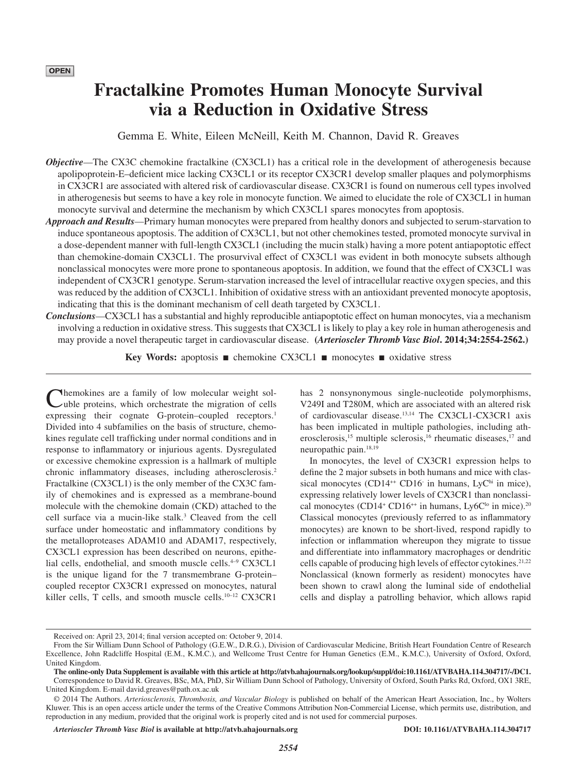# **Fractalkine Promotes Human Monocyte Survival via a Reduction in Oxidative Stress**

Gemma E. White, Eileen McNeill, Keith M. Channon, David R. Greaves

- *Objective*—The CX3C chemokine fractalkine (CX3CL1) has a critical role in the development of atherogenesis because apolipoprotein-E–deficient mice lacking CX3CL1 or its receptor CX3CR1 develop smaller plaques and polymorphisms in CX3CR1 are associated with altered risk of cardiovascular disease. CX3CR1 is found on numerous cell types involved in atherogenesis but seems to have a key role in monocyte function. We aimed to elucidate the role of CX3CL1 in human monocyte survival and determine the mechanism by which CX3CL1 spares monocytes from apoptosis.
- *Approach and Results*—Primary human monocytes were prepared from healthy donors and subjected to serum-starvation to induce spontaneous apoptosis. The addition of CX3CL1, but not other chemokines tested, promoted monocyte survival in a dose-dependent manner with full-length CX3CL1 (including the mucin stalk) having a more potent antiapoptotic effect than chemokine-domain CX3CL1. The prosurvival effect of CX3CL1 was evident in both monocyte subsets although nonclassical monocytes were more prone to spontaneous apoptosis. In addition, we found that the effect of CX3CL1 was independent of CX3CR1 genotype. Serum-starvation increased the level of intracellular reactive oxygen species, and this was reduced by the addition of CX3CL1. Inhibition of oxidative stress with an antioxidant prevented monocyte apoptosis, indicating that this is the dominant mechanism of cell death targeted by CX3CL1.
- *Conclusions*—CX3CL1 has a substantial and highly reproducible antiapoptotic effect on human monocytes, via a mechanism involving a reduction in oxidative stress. This suggests that CX3CL1 is likely to play a key role in human atherogenesis and may provide a novel therapeutic target in cardiovascular disease. **(***Arterioscler Thromb Vasc Biol***. 2014;34:2554-2562.)**

**Key Words:** apoptosis ■ chemokine CX3CL1 ■ monocytes ■ oxidative stress

Chemokines are a family of low molecular weight sol-uble proteins, which orchestrate the migration of cells expressing their cognate G-protein–coupled receptors.<sup>1</sup> Divided into 4 subfamilies on the basis of structure, chemokines regulate cell trafficking under normal conditions and in response to inflammatory or injurious agents. Dysregulated or excessive chemokine expression is a hallmark of multiple chronic inflammatory diseases, including atherosclerosis.2 Fractalkine (CX3CL1) is the only member of the CX3C family of chemokines and is expressed as a membrane-bound molecule with the chemokine domain (CKD) attached to the cell surface via a mucin-like stalk.3 Cleaved from the cell surface under homeostatic and inflammatory conditions by the metalloproteases ADAM10 and ADAM17, respectively, CX3CL1 expression has been described on neurons, epithelial cells, endothelial, and smooth muscle cells.<sup>4–9</sup> CX3CL1 is the unique ligand for the 7 transmembrane G-protein– coupled receptor CX3CR1 expressed on monocytes, natural killer cells, T cells, and smooth muscle cells.<sup>10-12</sup> CX3CR1

has 2 nonsynonymous single-nucleotide polymorphisms, V249I and T280M, which are associated with an altered risk of cardiovascular disease.13,14 The CX3CL1-CX3CR1 axis has been implicated in multiple pathologies, including atherosclerosis,<sup>15</sup> multiple sclerosis,<sup>16</sup> rheumatic diseases,<sup>17</sup> and neuropathic pain.18,19

In monocytes, the level of CX3CR1 expression helps to define the 2 major subsets in both humans and mice with classical monocytes (CD14<sup>++</sup> CD16<sup>-</sup> in humans, LyC<sup>hi</sup> in mice), expressing relatively lower levels of CX3CR1 than nonclassical monocytes (CD14<sup>+</sup> CD16<sup>++</sup> in humans, Ly6C<sup>lo</sup> in mice).<sup>20</sup> Classical monocytes (previously referred to as inflammatory monocytes) are known to be short-lived, respond rapidly to infection or inflammation whereupon they migrate to tissue and differentiate into inflammatory macrophages or dendritic cells capable of producing high levels of effector cytokines.<sup>21,22</sup> Nonclassical (known formerly as resident) monocytes have been shown to crawl along the luminal side of endothelial cells and display a patrolling behavior, which allows rapid

*Arterioscler Thromb Vasc Biol* **is available at http://atvb.ahajournals.org DOI: 10.1161/ATVBAHA.114.304717**

Received on: April 23, 2014; final version accepted on: October 9, 2014.

From the Sir William Dunn School of Pathology (G.E.W., D.R.G.), Division of Cardiovascular Medicine, British Heart Foundation Centre of Research Excellence, John Radcliffe Hospital (E.M., K.M.C.), and Wellcome Trust Centre for Human Genetics (E.M., K.M.C.), University of Oxford, Oxford, United Kingdom.

**The online-only Data Supplement is available with this article at<http://atvb.ahajournals.org/lookup/suppl/doi:10.1161/ATVBAHA.114.304717/-/DC1>.** Correspondence to David R. Greaves, BSc, MA, PhD, Sir William Dunn School of Pathology, University of Oxford, South Parks Rd, Oxford, OX1 3RE, United Kingdom. E-mail [david.greaves@path.ox.ac.uk](mailto:david.greaves@path.ox.ac.uk)

<sup>© 2014</sup> The Authors. *Arteriosclerosis, Thrombosis, and Vascular Biology* is published on behalf of the American Heart Association, Inc., by Wolters Kluwer. This is an open access article under the terms of the Creative Commons Attribution Non-Commercial License, which permits use, distribution, and reproduction in any medium, provided that the original work is properly cited and is not used for commercial purposes.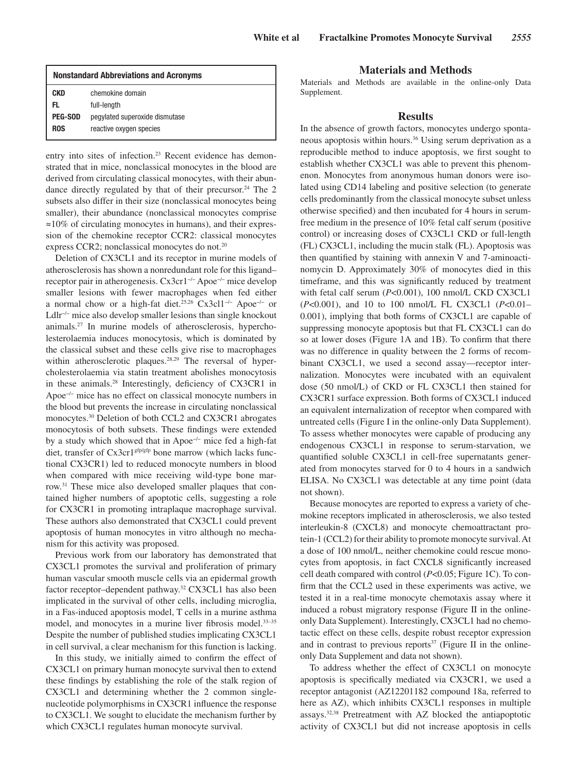| <b>Nonstandard Abbreviations and Acronyms</b> |                                |
|-----------------------------------------------|--------------------------------|
| <b>CKD</b>                                    | chemokine domain               |
| EL.                                           | full-length                    |
| <b>PEG-SOD</b>                                | pegylated superoxide dismutase |
| <b>ROS</b>                                    | reactive oxygen species        |
|                                               |                                |

entry into sites of infection.<sup>23</sup> Recent evidence has demonstrated that in mice, nonclassical monocytes in the blood are derived from circulating classical monocytes, with their abundance directly regulated by that of their precursor.<sup>24</sup> The 2 subsets also differ in their size (nonclassical monocytes being smaller), their abundance (nonclassical monocytes comprise ≈10% of circulating monocytes in humans), and their expression of the chemokine receptor CCR2: classical monocytes express CCR2; nonclassical monocytes do not.20

Deletion of CX3CL1 and its receptor in murine models of atherosclerosis has shown a nonredundant role for this ligand– receptor pair in atherogenesis. Cx3cr1−/− Apoe−/− mice develop smaller lesions with fewer macrophages when fed either a normal chow or a high-fat diet.25,26 Cx3cl1−/− Apoe−/− or Ldlr−/− mice also develop smaller lesions than single knockout animals.27 In murine models of atherosclerosis, hypercholesterolaemia induces monocytosis, which is dominated by the classical subset and these cells give rise to macrophages within atherosclerotic plaques.<sup>28,29</sup> The reversal of hypercholesterolaemia via statin treatment abolishes monocytosis in these animals.28 Interestingly, deficiency of CX3CR1 in Apoe−/− mice has no effect on classical monocyte numbers in the blood but prevents the increase in circulating nonclassical monocytes.30 Deletion of both CCL2 and CX3CR1 abrogates monocytosis of both subsets. These findings were extended by a study which showed that in Apoe−/− mice fed a high-fat diet, transfer of Cx3cr1<sup>gfp/gfp</sup> bone marrow (which lacks functional CX3CR1) led to reduced monocyte numbers in blood when compared with mice receiving wild-type bone marrow.31 These mice also developed smaller plaques that contained higher numbers of apoptotic cells, suggesting a role for CX3CR1 in promoting intraplaque macrophage survival. These authors also demonstrated that CX3CL1 could prevent apoptosis of human monocytes in vitro although no mechanism for this activity was proposed.

Previous work from our laboratory has demonstrated that CX3CL1 promotes the survival and proliferation of primary human vascular smooth muscle cells via an epidermal growth factor receptor–dependent pathway.<sup>32</sup> CX3CL1 has also been implicated in the survival of other cells, including microglia, in a Fas-induced apoptosis model, T cells in a murine asthma model, and monocytes in a murine liver fibrosis model.<sup>33-35</sup> Despite the number of published studies implicating CX3CL1 in cell survival, a clear mechanism for this function is lacking.

In this study, we initially aimed to confirm the effect of CX3CL1 on primary human monocyte survival then to extend these findings by establishing the role of the stalk region of CX3CL1 and determining whether the 2 common singlenucleotide polymorphisms in CX3CR1 influence the response to CX3CL1. We sought to elucidate the mechanism further by which CX3CL1 regulates human monocyte survival.

#### **Materials and Methods**

Materials and Methods are available in the online-only Data Supplement.

#### **Results**

In the absence of growth factors, monocytes undergo spontaneous apoptosis within hours.36 Using serum deprivation as a reproducible method to induce apoptosis, we first sought to establish whether CX3CL1 was able to prevent this phenomenon. Monocytes from anonymous human donors were isolated using CD14 labeling and positive selection (to generate cells predominantly from the classical monocyte subset unless otherwise specified) and then incubated for 4 hours in serumfree medium in the presence of 10% fetal calf serum (positive control) or increasing doses of CX3CL1 CKD or full-length (FL) CX3CL1, including the mucin stalk (FL). Apoptosis was then quantified by staining with annexin V and 7-aminoactinomycin D. Approximately 30% of monocytes died in this timeframe, and this was significantly reduced by treatment with fetal calf serum (*P*<0.001), 100 nmol/L CKD CX3CL1 (*P*<0.001), and 10 to 100 nmol/L FL CX3CL1 (*P*<0.01– 0.001), implying that both forms of CX3CL1 are capable of suppressing monocyte apoptosis but that FL CX3CL1 can do so at lower doses (Figure 1A and 1B). To confirm that there was no difference in quality between the 2 forms of recombinant CX3CL1, we used a second assay—receptor internalization. Monocytes were incubated with an equivalent dose (50 nmol/L) of CKD or FL CX3CL1 then stained for CX3CR1 surface expression. Both forms of CX3CL1 induced an equivalent internalization of receptor when compared with untreated cells (Figure I in the online-only Data Supplement). To assess whether monocytes were capable of producing any endogenous CX3CL1 in response to serum-starvation, we quantified soluble CX3CL1 in cell-free supernatants generated from monocytes starved for 0 to 4 hours in a sandwich ELISA. No CX3CL1 was detectable at any time point (data not shown).

Because monocytes are reported to express a variety of chemokine receptors implicated in atherosclerosis, we also tested interleukin-8 (CXCL8) and monocyte chemoattractant protein-1 (CCL2) for their ability to promote monocyte survival. At a dose of 100 nmol/L, neither chemokine could rescue monocytes from apoptosis, in fact CXCL8 significantly increased cell death compared with control (*P*<0.05; Figure 1C). To confirm that the CCL2 used in these experiments was active, we tested it in a real-time monocyte chemotaxis assay where it induced a robust migratory response (Figure II in the onlineonly Data Supplement). Interestingly, CX3CL1 had no chemotactic effect on these cells, despite robust receptor expression and in contrast to previous reports<sup>37</sup> (Figure II in the onlineonly Data Supplement and data not shown).

To address whether the effect of CX3CL1 on monocyte apoptosis is specifically mediated via CX3CR1, we used a receptor antagonist (AZ12201182 compound 18a, referred to here as AZ), which inhibits CX3CL1 responses in multiple assays.32,38 Pretreatment with AZ blocked the antiapoptotic activity of CX3CL1 but did not increase apoptosis in cells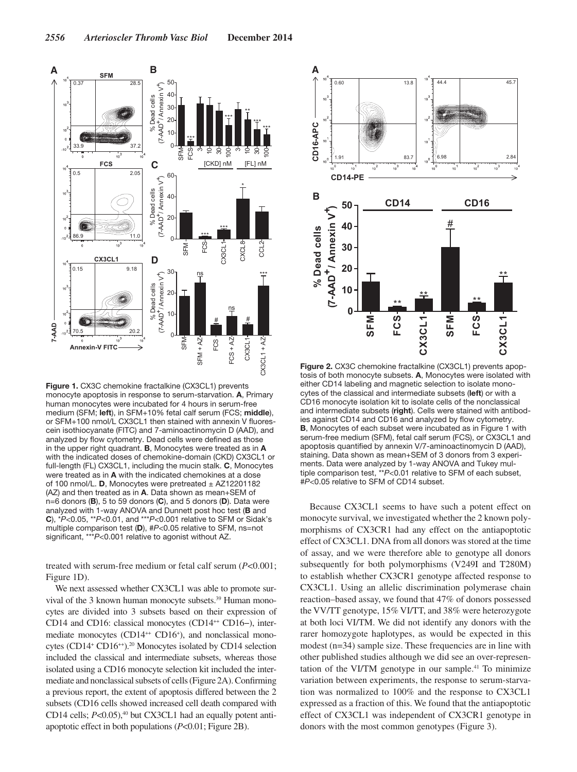

**Figure 1.** CX3C chemokine fractalkine (CX3CL1) prevents monocyte apoptosis in response to serum-starvation. **A**, Primary human monocytes were incubated for 4 hours in serum-free medium (SFM; **left**), in SFM+10% fetal calf serum (FCS; **middle**), or SFM+100 nmol/L CX3CL1 then stained with annexin V fluorescein isothiocyanate (FITC) and 7-aminoactinomycin D (AAD), and analyzed by flow cytometry. Dead cells were defined as those in the upper right quadrant. **B**, Monocytes were treated as in **A** with the indicated doses of chemokine-domain (CKD) CX3CL1 or full-length (FL) CX3CL1, including the mucin stalk. **C**, Monocytes were treated as in **A** with the indicated chemokines at a dose of 100 nmol/L. **D**, Monocytes were pretreated ± AZ12201182 (AZ) and then treated as in **A**. Data shown as mean+SEM of n=6 donors (**B**), 5 to 59 donors (**C**), and 5 donors (**D**). Data were analyzed with 1-way ANOVA and Dunnett post hoc test (**B** and **C**), \**P*<0.05, \*\**P*<0.01, and \*\*\**P*<0.001 relative to SFM or Sidak's multiple comparison test (**D**), #*P*<0.05 relative to SFM, ns=not significant, \*\*\**P*<0.001 relative to agonist without AZ.

treated with serum-free medium or fetal calf serum (*P*<0.001; Figure 1D).

We next assessed whether CX3CL1 was able to promote survival of the 3 known human monocyte subsets.<sup>39</sup> Human monocytes are divided into 3 subsets based on their expression of CD14 and CD16: classical monocytes (CD14<sup>++</sup> CD16−), intermediate monocytes (CD14<sup>++</sup> CD16<sup>+</sup>), and nonclassical monocytes (CD14<sup>+</sup> CD16<sup>++</sup>).<sup>20</sup> Monocytes isolated by CD14 selection included the classical and intermediate subsets, whereas those isolated using a CD16 monocyte selection kit included the intermediate and nonclassical subsets of cells (Figure 2A). Confirming a previous report, the extent of apoptosis differed between the 2 subsets (CD16 cells showed increased cell death compared with CD14 cells; *P<*0.05),<sup>40</sup> but CX3CL1 had an equally potent antiapoptotic effect in both populations (*P*<0.01; Figure 2B).



**Figure 2.** CX3C chemokine fractalkine (CX3CL1) prevents apoptosis of both monocyte subsets. **A**, Monocytes were isolated with either CD14 labeling and magnetic selection to isolate monocytes of the classical and intermediate subsets (**left**) or with a CD16 monocyte isolation kit to isolate cells of the nonclassical and intermediate subsets (**right**). Cells were stained with antibodies against CD14 and CD16 and analyzed by flow cytometry. **B**, Monocytes of each subset were incubated as in Figure 1 with serum-free medium (SFM), fetal calf serum (FCS), or CX3CL1 and apoptosis quantified by annexin V/7-aminoactinomycin D (AAD), staining. Data shown as mean+SEM of 3 donors from 3 experiments. Data were analyzed by 1-way ANOVA and Tukey multiple comparison test, \*\**P*<0.01 relative to SFM of each subset, #*P*<0.05 relative to SFM of CD14 subset.

Because CX3CL1 seems to have such a potent effect on monocyte survival, we investigated whether the 2 known polymorphisms of CX3CR1 had any effect on the antiapoptotic effect of CX3CL1. DNA from all donors was stored at the time of assay, and we were therefore able to genotype all donors subsequently for both polymorphisms (V249I and T280M) to establish whether CX3CR1 genotype affected response to CX3CL1. Using an allelic discrimination polymerase chain reaction–based assay, we found that 47% of donors possessed the VV/TT genotype, 15% VI/TT, and 38% were heterozygote at both loci VI/TM. We did not identify any donors with the rarer homozygote haplotypes, as would be expected in this modest (n=34) sample size. These frequencies are in line with other published studies although we did see an over-representation of the VI/TM genotype in our sample. $41$  To minimize variation between experiments, the response to serum-starvation was normalized to 100% and the response to CX3CL1 expressed as a fraction of this. We found that the antiapoptotic effect of CX3CL1 was independent of CX3CR1 genotype in donors with the most common genotypes (Figure 3).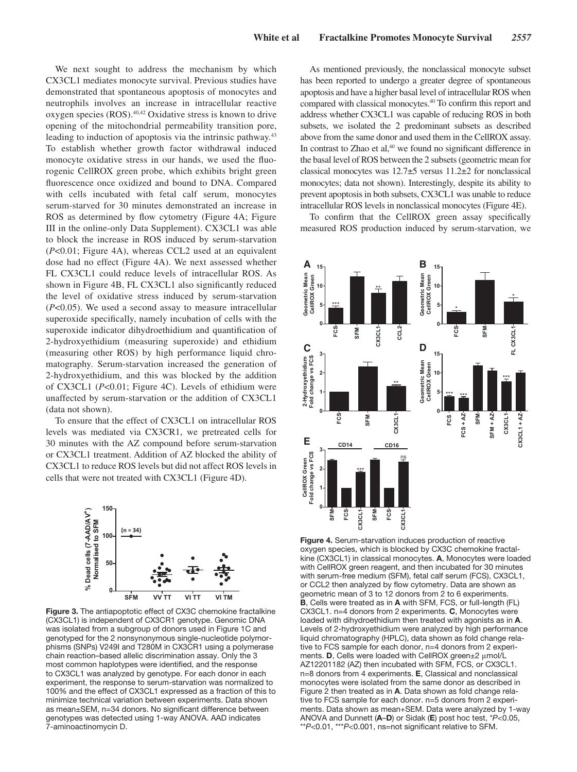We next sought to address the mechanism by which CX3CL1 mediates monocyte survival. Previous studies have demonstrated that spontaneous apoptosis of monocytes and neutrophils involves an increase in intracellular reactive oxygen species (ROS).40,42 Oxidative stress is known to drive opening of the mitochondrial permeability transition pore, leading to induction of apoptosis via the intrinsic pathway.<sup>43</sup> To establish whether growth factor withdrawal induced monocyte oxidative stress in our hands, we used the fluorogenic CellROX green probe, which exhibits bright green fluorescence once oxidized and bound to DNA. Compared with cells incubated with fetal calf serum, monocytes serum-starved for 30 minutes demonstrated an increase in ROS as determined by flow cytometry (Figure 4A; Figure III in the online-only Data Supplement). CX3CL1 was able to block the increase in ROS induced by serum-starvation (*P*<0.01; Figure 4A), whereas CCL2 used at an equivalent dose had no effect (Figure 4A). We next assessed whether FL CX3CL1 could reduce levels of intracellular ROS. As shown in Figure 4B, FL CX3CL1 also significantly reduced the level of oxidative stress induced by serum-starvation (*P*<0.05). We used a second assay to measure intracellular superoxide specifically, namely incubation of cells with the superoxide indicator dihydroethidium and quantification of 2-hydroxyethidium (measuring superoxide) and ethidium (measuring other ROS) by high performance liquid chromatography. Serum-starvation increased the generation of 2-hydroxyethidium, and this was blocked by the addition of CX3CL1 (*P*<0.01; Figure 4C). Levels of ethidium were unaffected by serum-starvation or the addition of CX3CL1 (data not shown).

To ensure that the effect of CX3CL1 on intracellular ROS levels was mediated via CX3CR1, we pretreated cells for 30 minutes with the AZ compound before serum-starvation or CX3CL1 treatment. Addition of AZ blocked the ability of CX3CL1 to reduce ROS levels but did not affect ROS levels in cells that were not treated with CX3CL1 (Figure 4D).



**Figure 3.** The antiapoptotic effect of CX3C chemokine fractalkine (CX3CL1) is independent of CX3CR1 genotype. Genomic DNA was isolated from a subgroup of donors used in Figure 1C and genotyped for the 2 nonsynonymous single-nucleotide polymorphisms (SNPs) V249I and T280M in CX3CR1 using a polymerase chain reaction–based allelic discrimination assay. Only the 3 most common haplotypes were identified, and the response to CX3CL1 was analyzed by genotype. For each donor in each experiment, the response to serum-starvation was normalized to 100% and the effect of CX3CL1 expressed as a fraction of this to minimize technical variation between experiments. Data shown as mean±SEM, n=34 donors. No significant difference between genotypes was detected using 1-way ANOVA. AAD indicates 7-aminoactinomycin D.

As mentioned previously, the nonclassical monocyte subset has been reported to undergo a greater degree of spontaneous apoptosis and have a higher basal level of intracellular ROS when compared with classical monocytes.40 To confirm this report and address whether CX3CL1 was capable of reducing ROS in both subsets, we isolated the 2 predominant subsets as described above from the same donor and used them in the CellROX assay. In contrast to Zhao et al,<sup>40</sup> we found no significant difference in the basal level of ROS between the 2 subsets (geometric mean for classical monocytes was 12.7±5 versus 11.2±2 for nonclassical monocytes; data not shown). Interestingly, despite its ability to prevent apoptosis in both subsets, CX3CL1 was unable to reduce intracellular ROS levels in nonclassical monocytes (Figure 4E).

To confirm that the CellROX green assay specifically measured ROS production induced by serum-starvation, we



**Figure 4.** Serum-starvation induces production of reactive oxygen species, which is blocked by CX3C chemokine fractalkine (CX3CL1) in classical monocytes. **A**, Monocytes were loaded with CellROX green reagent, and then incubated for 30 minutes with serum-free medium (SFM), fetal calf serum (FCS), CX3CL1, or CCL2 then analyzed by flow cytometry. Data are shown as geometric mean of 3 to 12 donors from 2 to 6 experiments. **B**, Cells were treated as in **A** with SFM, FCS, or full-length (FL) CX3CL1. n=4 donors from 2 experiments. **C**, Monocytes were loaded with dihydroethidium then treated with agonists as in **A**. Levels of 2-hydroxyethidium were analyzed by high performance liquid chromatography (HPLC), data shown as fold change relative to FCS sample for each donor, n=4 donors from 2 experiments. **D**, Cells were loaded with CellROX green±2 μmol/L AZ12201182 (AZ) then incubated with SFM, FCS, or CX3CL1. n=8 donors from 4 experiments. **E**, Classical and nonclassical monocytes were isolated from the same donor as described in Figure 2 then treated as in **A**. Data shown as fold change relative to FCS sample for each donor. n=5 donors from 2 experiments. Data shown as mean+SEM. Data were analyzed by 1-way ANOVA and Dunnett (**A**–**D**) or Sidak (**E**) post hoc test, \**P*<0.05, \*\**P*<0.01, \*\*\**P*<0.001, ns=not significant relative to SFM.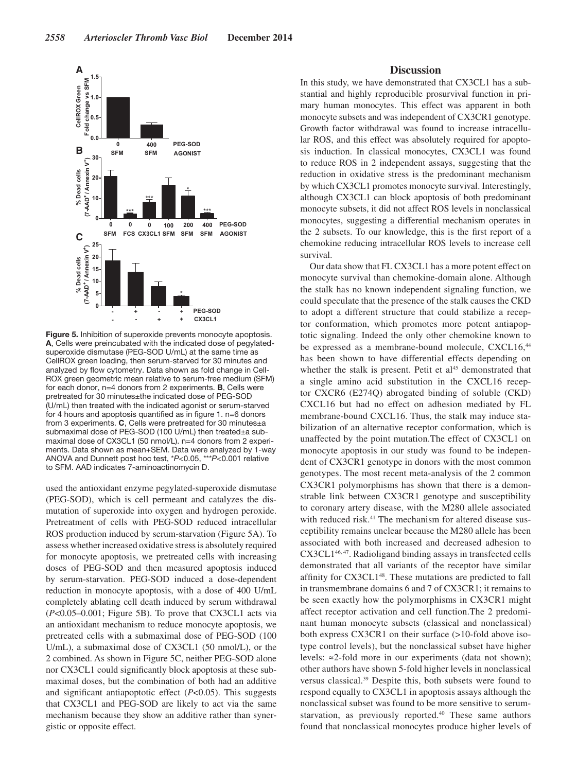

**Figure 5.** Inhibition of superoxide prevents monocyte apoptosis. **A**, Cells were preincubated with the indicated dose of pegylatedsuperoxide dismutase (PEG-SOD U/mL) at the same time as CellROX green loading, then serum-starved for 30 minutes and analyzed by flow cytometry. Data shown as fold change in Cell-ROX green geometric mean relative to serum-free medium (SFM) for each donor, n=4 donors from 2 experiments. **B**, Cells were pretreated for 30 minutes±the indicated dose of PEG-SOD (U/mL) then treated with the indicated agonist or serum-starved for 4 hours and apoptosis quantified as in figure 1. n=6 donors from 3 experiments. **C**, Cells were pretreated for 30 minutes±a submaximal dose of PEG-SOD (100 U/mL) then treated±a submaximal dose of CX3CL1 (50 nmol/L). n=4 donors from 2 experiments. Data shown as mean+SEM. Data were analyzed by 1-way ANOVA and Dunnett post hoc test, \**P*<0.05, \*\*\**P*<0.001 relative to SFM. AAD indicates 7-aminoactinomycin D.

used the antioxidant enzyme pegylated-superoxide dismutase (PEG-SOD), which is cell permeant and catalyzes the dismutation of superoxide into oxygen and hydrogen peroxide. Pretreatment of cells with PEG-SOD reduced intracellular ROS production induced by serum-starvation (Figure 5A). To assess whether increased oxidative stress is absolutely required for monocyte apoptosis, we pretreated cells with increasing doses of PEG-SOD and then measured apoptosis induced by serum-starvation. PEG-SOD induced a dose-dependent reduction in monocyte apoptosis, with a dose of 400 U/mL completely ablating cell death induced by serum withdrawal (*P*<0.05–0.001; Figure 5B). To prove that CX3CL1 acts via an antioxidant mechanism to reduce monocyte apoptosis, we pretreated cells with a submaximal dose of PEG-SOD (100 U/mL), a submaximal dose of CX3CL1 (50 nmol/L), or the 2 combined. As shown in Figure 5C, neither PEG-SOD alone nor CX3CL1 could significantly block apoptosis at these submaximal doses, but the combination of both had an additive and significant antiapoptotic effect (*P*<0.05). This suggests that CX3CL1 and PEG-SOD are likely to act via the same mechanism because they show an additive rather than synergistic or opposite effect.

#### **Discussion**

In this study, we have demonstrated that CX3CL1 has a substantial and highly reproducible prosurvival function in primary human monocytes. This effect was apparent in both monocyte subsets and was independent of CX3CR1 genotype. Growth factor withdrawal was found to increase intracellular ROS, and this effect was absolutely required for apoptosis induction. In classical monocytes, CX3CL1 was found to reduce ROS in 2 independent assays, suggesting that the reduction in oxidative stress is the predominant mechanism by which CX3CL1 promotes monocyte survival. Interestingly, although CX3CL1 can block apoptosis of both predominant monocyte subsets, it did not affect ROS levels in nonclassical monocytes, suggesting a differential mechanism operates in the 2 subsets. To our knowledge, this is the first report of a chemokine reducing intracellular ROS levels to increase cell survival.

Our data show that FL CX3CL1 has a more potent effect on monocyte survival than chemokine-domain alone. Although the stalk has no known independent signaling function, we could speculate that the presence of the stalk causes the CKD to adopt a different structure that could stabilize a receptor conformation, which promotes more potent antiapoptotic signaling. Indeed the only other chemokine known to be expressed as a membrane-bound molecule, CXCL16,<sup>44</sup> has been shown to have differential effects depending on whether the stalk is present. Petit et  $al<sup>45</sup>$  demonstrated that a single amino acid substitution in the CXCL16 receptor CXCR6 (E274Q) abrogated binding of soluble (CKD) CXCL16 but had no effect on adhesion mediated by FL membrane-bound CXCL16. Thus, the stalk may induce stabilization of an alternative receptor conformation, which is unaffected by the point mutation.The effect of CX3CL1 on monocyte apoptosis in our study was found to be independent of CX3CR1 genotype in donors with the most common genotypes. The most recent meta-analysis of the 2 common CX3CR1 polymorphisms has shown that there is a demonstrable link between CX3CR1 genotype and susceptibility to coronary artery disease, with the M280 allele associated with reduced risk.<sup>41</sup> The mechanism for altered disease susceptibility remains unclear because the M280 allele has been associated with both increased and decreased adhesion to CX3CL146, 47. Radioligand binding assays in transfected cells demonstrated that all variants of the receptor have similar affinity for CX3CL148. These mutations are predicted to fall in transmembrane domains 6 and 7 of CX3CR1; it remains to be seen exactly how the polymorphisms in CX3CR1 might affect receptor activation and cell function.The 2 predominant human monocyte subsets (classical and nonclassical) both express CX3CR1 on their surface (>10-fold above isotype control levels), but the nonclassical subset have higher levels: ≈2-fold more in our experiments (data not shown); other authors have shown 5-fold higher levels in nonclassical versus classical.39 Despite this, both subsets were found to respond equally to CX3CL1 in apoptosis assays although the nonclassical subset was found to be more sensitive to serumstarvation, as previously reported.<sup>40</sup> These same authors found that nonclassical monocytes produce higher levels of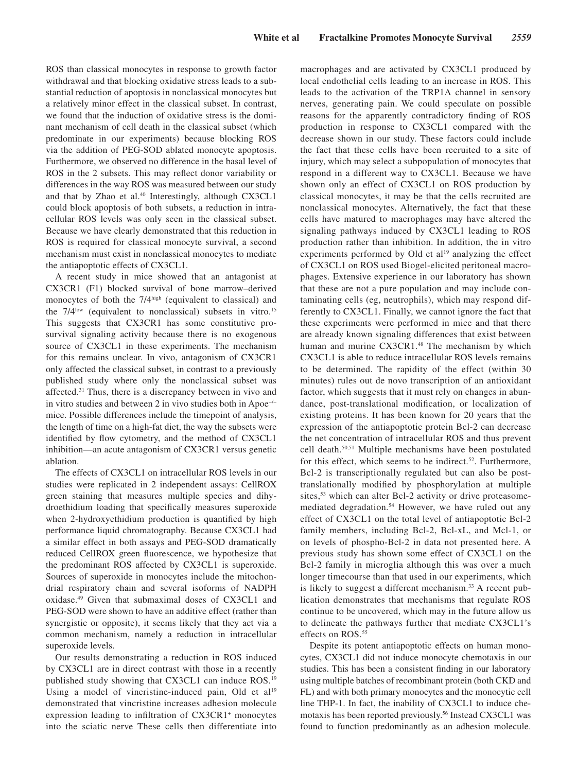ROS than classical monocytes in response to growth factor withdrawal and that blocking oxidative stress leads to a substantial reduction of apoptosis in nonclassical monocytes but a relatively minor effect in the classical subset. In contrast, we found that the induction of oxidative stress is the dominant mechanism of cell death in the classical subset (which predominate in our experiments) because blocking ROS via the addition of PEG-SOD ablated monocyte apoptosis. Furthermore, we observed no difference in the basal level of ROS in the 2 subsets. This may reflect donor variability or differences in the way ROS was measured between our study and that by Zhao et al.<sup>40</sup> Interestingly, although CX3CL1 could block apoptosis of both subsets, a reduction in intracellular ROS levels was only seen in the classical subset. Because we have clearly demonstrated that this reduction in ROS is required for classical monocyte survival, a second mechanism must exist in nonclassical monocytes to mediate the antiapoptotic effects of CX3CL1.

A recent study in mice showed that an antagonist at CX3CR1 (F1) blocked survival of bone marrow–derived monocytes of both the 7/4<sup>high</sup> (equivalent to classical) and the  $7/4^{\text{low}}$  (equivalent to nonclassical) subsets in vitro.<sup>15</sup> This suggests that CX3CR1 has some constitutive prosurvival signaling activity because there is no exogenous source of CX3CL1 in these experiments. The mechanism for this remains unclear. In vivo, antagonism of CX3CR1 only affected the classical subset, in contrast to a previously published study where only the nonclassical subset was affected.<sup>31</sup> Thus, there is a discrepancy between in vivo and in vitro studies and between 2 in vivo studies both in Apoe−/− mice. Possible differences include the timepoint of analysis, the length of time on a high-fat diet, the way the subsets were identified by flow cytometry, and the method of CX3CL1 inhibition—an acute antagonism of CX3CR1 versus genetic ablation.

The effects of CX3CL1 on intracellular ROS levels in our studies were replicated in 2 independent assays: CellROX green staining that measures multiple species and dihydroethidium loading that specifically measures superoxide when 2-hydroxyethidium production is quantified by high performance liquid chromatography. Because CX3CL1 had a similar effect in both assays and PEG-SOD dramatically reduced CellROX green fluorescence, we hypothesize that the predominant ROS affected by CX3CL1 is superoxide. Sources of superoxide in monocytes include the mitochondrial respiratory chain and several isoforms of NADPH oxidase.49 Given that submaximal doses of CX3CL1 and PEG-SOD were shown to have an additive effect (rather than synergistic or opposite), it seems likely that they act via a common mechanism, namely a reduction in intracellular superoxide levels.

Our results demonstrating a reduction in ROS induced by CX3CL1 are in direct contrast with those in a recently published study showing that CX3CL1 can induce ROS.<sup>19</sup> Using a model of vincristine-induced pain, Old et  $al<sup>19</sup>$ demonstrated that vincristine increases adhesion molecule expression leading to infiltration of CX3CR1+ monocytes into the sciatic nerve These cells then differentiate into macrophages and are activated by CX3CL1 produced by local endothelial cells leading to an increase in ROS. This leads to the activation of the TRP1A channel in sensory nerves, generating pain. We could speculate on possible reasons for the apparently contradictory finding of ROS production in response to CX3CL1 compared with the decrease shown in our study. These factors could include the fact that these cells have been recruited to a site of injury, which may select a subpopulation of monocytes that respond in a different way to CX3CL1. Because we have shown only an effect of CX3CL1 on ROS production by classical monocytes, it may be that the cells recruited are nonclassical monocytes. Alternatively, the fact that these cells have matured to macrophages may have altered the signaling pathways induced by CX3CL1 leading to ROS production rather than inhibition. In addition, the in vitro experiments performed by Old et  $al<sup>19</sup>$  analyzing the effect of CX3CL1 on ROS used Biogel-elicited peritoneal macrophages. Extensive experience in our laboratory has shown that these are not a pure population and may include contaminating cells (eg, neutrophils), which may respond differently to CX3CL1. Finally, we cannot ignore the fact that these experiments were performed in mice and that there are already known signaling differences that exist between human and murine CX3CR1.<sup>48</sup> The mechanism by which CX3CL1 is able to reduce intracellular ROS levels remains to be determined. The rapidity of the effect (within 30 minutes) rules out de novo transcription of an antioxidant factor, which suggests that it must rely on changes in abundance, post-translational modification, or localization of existing proteins. It has been known for 20 years that the expression of the antiapoptotic protein Bcl-2 can decrease the net concentration of intracellular ROS and thus prevent cell death.50,51 Multiple mechanisms have been postulated for this effect, which seems to be indirect.<sup>52</sup>. Furthermore, Bcl-2 is transcriptionally regulated but can also be posttranslationally modified by phosphorylation at multiple sites,<sup>53</sup> which can alter Bcl-2 activity or drive proteasomemediated degradation.54 However, we have ruled out any effect of CX3CL1 on the total level of antiapoptotic Bcl-2 family members, including Bcl-2, Bcl-xL, and Mcl-1, or on levels of phospho-Bcl-2 in data not presented here. A previous study has shown some effect of CX3CL1 on the Bcl-2 family in microglia although this was over a much longer timecourse than that used in our experiments, which is likely to suggest a different mechanism.<sup>33</sup> A recent publication demonstrates that mechanisms that regulate ROS continue to be uncovered, which may in the future allow us to delineate the pathways further that mediate CX3CL1's effects on ROS.<sup>55</sup>

Despite its potent antiapoptotic effects on human monocytes, CX3CL1 did not induce monocyte chemotaxis in our studies. This has been a consistent finding in our laboratory using multiple batches of recombinant protein (both CKD and FL) and with both primary monocytes and the monocytic cell line THP-1. In fact, the inability of CX3CL1 to induce chemotaxis has been reported previously.56 Instead CX3CL1 was found to function predominantly as an adhesion molecule.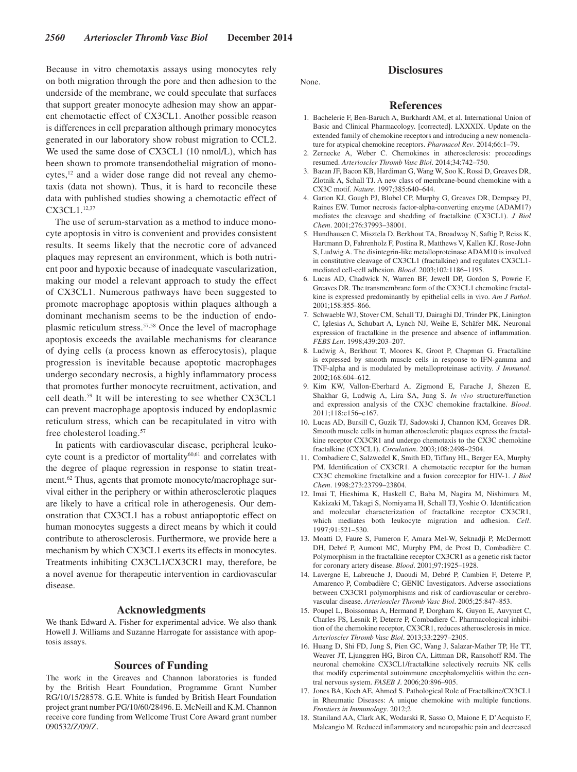Because in vitro chemotaxis assays using monocytes rely on both migration through the pore and then adhesion to the underside of the membrane, we could speculate that surfaces that support greater monocyte adhesion may show an apparent chemotactic effect of CX3CL1. Another possible reason is differences in cell preparation although primary monocytes generated in our laboratory show robust migration to CCL2. We used the same dose of CX3CL1 (10 nmol/L), which has been shown to promote transendothelial migration of monocytes,<sup>12</sup> and a wider dose range did not reveal any chemotaxis (data not shown). Thus, it is hard to reconcile these data with published studies showing a chemotactic effect of CX3CL1.12,37

The use of serum-starvation as a method to induce monocyte apoptosis in vitro is convenient and provides consistent results. It seems likely that the necrotic core of advanced plaques may represent an environment, which is both nutrient poor and hypoxic because of inadequate vascularization, making our model a relevant approach to study the effect of CX3CL1. Numerous pathways have been suggested to promote macrophage apoptosis within plaques although a dominant mechanism seems to be the induction of endoplasmic reticulum stress.57,58 Once the level of macrophage apoptosis exceeds the available mechanisms for clearance of dying cells (a process known as efferocytosis), plaque progression is inevitable because apoptotic macrophages undergo secondary necrosis, a highly inflammatory process that promotes further monocyte recruitment, activation, and cell death.59 It will be interesting to see whether CX3CL1 can prevent macrophage apoptosis induced by endoplasmic reticulum stress, which can be recapitulated in vitro with free cholesterol loading.57

In patients with cardiovascular disease, peripheral leukocyte count is a predictor of mortality<sup>60,61</sup> and correlates with the degree of plaque regression in response to statin treatment.<sup>62</sup> Thus, agents that promote monocyte/macrophage survival either in the periphery or within atherosclerotic plaques are likely to have a critical role in atherogenesis. Our demonstration that CX3CL1 has a robust antiapoptotic effect on human monocytes suggests a direct means by which it could contribute to atherosclerosis. Furthermore, we provide here a mechanism by which CX3CL1 exerts its effects in monocytes. Treatments inhibiting CX3CL1/CX3CR1 may, therefore, be a novel avenue for therapeutic intervention in cardiovascular disease.

#### **Acknowledgments**

We thank Edward A. Fisher for experimental advice. We also thank Howell J. Williams and Suzanne Harrogate for assistance with apoptosis assays.

#### **Sources of Funding**

The work in the Greaves and Channon laboratories is funded by the British Heart Foundation, Programme Grant Number RG/10/15/28578. G.E. White is funded by British Heart Foundation project grant number PG/10/60/28496. E. McNeill and K.M. Channon receive core funding from Wellcome Trust Core Award grant number 090532/Z/09/Z.

None.

## **Disclosures**

#### **References**

- 1. Bachelerie F, Ben-Baruch A, Burkhardt AM, et al. International Union of Basic and Clinical Pharmacology. [corrected]. LXXXIX. Update on the extended family of chemokine receptors and introducing a new nomenclature for atypical chemokine receptors. *Pharmacol Rev*. 2014;66:1–79.
- 2. Zernecke A, Weber C. Chemokines in atherosclerosis: proceedings resumed. *Arterioscler Thromb Vasc Biol*. 2014;34:742–750.
- 3. Bazan JF, Bacon KB, Hardiman G, Wang W, Soo K, Rossi D, Greaves DR, Zlotnik A, Schall TJ. A new class of membrane-bound chemokine with a CX3C motif. *Nature*. 1997;385:640–644.
- 4. Garton KJ, Gough PJ, Blobel CP, Murphy G, Greaves DR, Dempsey PJ, Raines EW. Tumor necrosis factor-alpha-converting enzyme (ADAM17) mediates the cleavage and shedding of fractalkine (CX3CL1). *J Biol Chem*. 2001;276:37993–38001.
- 5. Hundhausen C, Misztela D, Berkhout TA, Broadway N, Saftig P, Reiss K, Hartmann D, Fahrenholz F, Postina R, Matthews V, Kallen KJ, Rose-John S, Ludwig A. The disintegrin-like metalloproteinase ADAM10 is involved in constitutive cleavage of CX3CL1 (fractalkine) and regulates CX3CL1 mediated cell-cell adhesion. *Blood*. 2003;102:1186–1195.
- 6. Lucas AD, Chadwick N, Warren BF, Jewell DP, Gordon S, Powrie F, Greaves DR. The transmembrane form of the CX3CL1 chemokine fractalkine is expressed predominantly by epithelial cells in vivo. *Am J Pathol*. 2001;158:855–866.
- 7. Schwaeble WJ, Stover CM, Schall TJ, Dairaghi DJ, Trinder PK, Linington C, Iglesias A, Schubart A, Lynch NJ, Weihe E, Schäfer MK. Neuronal expression of fractalkine in the presence and absence of inflammation. *FEBS Lett*. 1998;439:203–207.
- 8. Ludwig A, Berkhout T, Moores K, Groot P, Chapman G. Fractalkine is expressed by smooth muscle cells in response to IFN-gamma and TNF-alpha and is modulated by metalloproteinase activity. *J Immunol*. 2002;168:604–612.
- 9. Kim KW, Vallon-Eberhard A, Zigmond E, Farache J, Shezen E, Shakhar G, Ludwig A, Lira SA, Jung S. *In vivo* structure/function and expression analysis of the CX3C chemokine fractalkine. *Blood*. 2011;118:e156–e167.
- 10. Lucas AD, Bursill C, Guzik TJ, Sadowski J, Channon KM, Greaves DR. Smooth muscle cells in human atherosclerotic plaques express the fractalkine receptor CX3CR1 and undergo chemotaxis to the CX3C chemokine fractalkine (CX3CL1). *Circulation*. 2003;108:2498–2504.
- 11. Combadiere C, Salzwedel K, Smith ED, Tiffany HL, Berger EA, Murphy PM. Identification of CX3CR1. A chemotactic receptor for the human CX3C chemokine fractalkine and a fusion coreceptor for HIV-1. *J Biol Chem*. 1998;273:23799–23804.
- 12. Imai T, Hieshima K, Haskell C, Baba M, Nagira M, Nishimura M, Kakizaki M, Takagi S, Nomiyama H, Schall TJ, Yoshie O. Identification and molecular characterization of fractalkine receptor CX3CR1, which mediates both leukocyte migration and adhesion. *Cell*. 1997;91:521–530.
- 13. Moatti D, Faure S, Fumeron F, Amara Mel-W, Seknadji P, McDermott DH, Debré P, Aumont MC, Murphy PM, de Prost D, Combadière C. Polymorphism in the fractalkine receptor CX3CR1 as a genetic risk factor for coronary artery disease. *Blood*. 2001;97:1925–1928.
- 14. Lavergne E, Labreuche J, Daoudi M, Debré P, Cambien F, Deterre P, Amarenco P, Combadière C; GENIC Investigators. Adverse associations between CX3CR1 polymorphisms and risk of cardiovascular or cerebrovascular disease. *Arterioscler Thromb Vasc Biol*. 2005;25:847–853.
- 15. Poupel L, Boissonnas A, Hermand P, Dorgham K, Guyon E, Auvynet C, Charles FS, Lesnik P, Deterre P, Combadiere C. Pharmacological inhibition of the chemokine receptor, CX3CR1, reduces atherosclerosis in mice. *Arterioscler Thromb Vasc Biol*. 2013;33:2297–2305.
- 16. Huang D, Shi FD, Jung S, Pien GC, Wang J, Salazar-Mather TP, He TT, Weaver JT, Ljunggren HG, Biron CA, Littman DR, Ransohoff RM. The neuronal chemokine CX3CL1/fractalkine selectively recruits NK cells that modify experimental autoimmune encephalomyelitis within the central nervous system. *FASEB J*. 2006;20:896–905.
- 17. Jones BA, Koch AE, Ahmed S. Pathological Role of Fractalkine/CX3CL1 in Rheumatic Diseases: A unique chemokine with multiple functions. *Frontiers in Immunology*. 2012;2
- 18. Staniland AA, Clark AK, Wodarski R, Sasso O, Maione F, D'Acquisto F, Malcangio M. Reduced inflammatory and neuropathic pain and decreased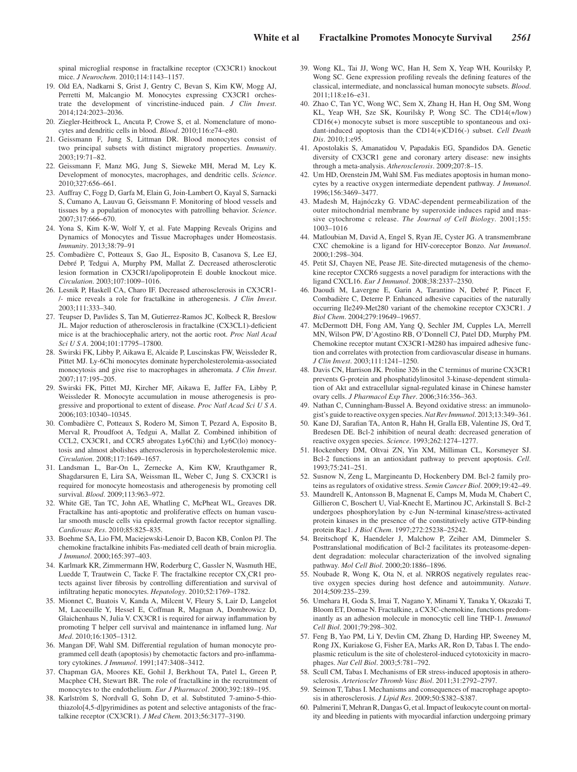spinal microglial response in fractalkine receptor (CX3CR1) knockout mice. *J Neurochem*. 2010;114:1143–1157.

- 19. Old EA, Nadkarni S, Grist J, Gentry C, Bevan S, Kim KW, Mogg AJ, Perretti M, Malcangio M. Monocytes expressing CX3CR1 orchestrate the development of vincristine-induced pain. *J Clin Invest*. 2014;124:2023–2036.
- 20. Ziegler-Heitbrock L, Ancuta P, Crowe S, et al. Nomenclature of monocytes and dendritic cells in blood. *Blood*. 2010;116:e74–e80.
- 21. Geissmann F, Jung S, Littman DR. Blood monocytes consist of two principal subsets with distinct migratory properties. *Immunity*. 2003;19:71–82.
- 22. Geissmann F, Manz MG, Jung S, Sieweke MH, Merad M, Ley K. Development of monocytes, macrophages, and dendritic cells. *Science*. 2010;327:656–661.
- 23. Auffray C, Fogg D, Garfa M, Elain G, Join-Lambert O, Kayal S, Sarnacki S, Cumano A, Lauvau G, Geissmann F. Monitoring of blood vessels and tissues by a population of monocytes with patrolling behavior. *Science*. 2007;317:666–670.
- 24. Yona S, Kim K-W, Wolf Y, et al. Fate Mapping Reveals Origins and Dynamics of Monocytes and Tissue Macrophages under Homeostasis. *Immunity*. 2013;38:79–91
- 25. Combadière C, Potteaux S, Gao JL, Esposito B, Casanova S, Lee EJ, Debré P, Tedgui A, Murphy PM, Mallat Z. Decreased atherosclerotic lesion formation in CX3CR1/apolipoprotein E double knockout mice. *Circulation*. 2003;107:1009–1016.
- 26. Lesnik P, Haskell CA, Charo IF. Decreased atherosclerosis in CX3CR1- /- mice reveals a role for fractalkine in atherogenesis. *J Clin Invest*. 2003;111:333–340.
- 27. Teupser D, Pavlides S, Tan M, Gutierrez-Ramos JC, Kolbeck R, Breslow JL. Major reduction of atherosclerosis in fractalkine (CX3CL1)-deficient mice is at the brachiocephalic artery, not the aortic root. *Proc Natl Acad Sci U S A*. 2004;101:17795–17800.
- 28. Swirski FK, Libby P, Aikawa E, Alcaide P, Luscinskas FW, Weissleder R, Pittet MJ. Ly-6Chi monocytes dominate hypercholesterolemia-associated monocytosis and give rise to macrophages in atheromata. *J Clin Invest*.  $2007:117:195-205$
- 29. Swirski FK, Pittet MJ, Kircher MF, Aikawa E, Jaffer FA, Libby P, Weissleder R. Monocyte accumulation in mouse atherogenesis is progressive and proportional to extent of disease. *Proc Natl Acad Sci U S A*. 2006;103:10340–10345.
- 30. Combadière C, Potteaux S, Rodero M, Simon T, Pezard A, Esposito B, Merval R, Proudfoot A, Tedgui A, Mallat Z. Combined inhibition of CCL2, CX3CR1, and CCR5 abrogates Ly6C(hi) and Ly6C(lo) monocytosis and almost abolishes atherosclerosis in hypercholesterolemic mice. *Circulation*. 2008;117:1649–1657.
- Landsman L, Bar-On L, Zernecke A, Kim KW, Krauthgamer R, Shagdarsuren E, Lira SA, Weissman IL, Weber C, Jung S. CX3CR1 is required for monocyte homeostasis and atherogenesis by promoting cell survival. *Blood*. 2009;113:963–972.
- 32. White GE, Tan TC, John AE, Whatling C, McPheat WL, Greaves DR. Fractalkine has anti-apoptotic and proliferative effects on human vascular smooth muscle cells via epidermal growth factor receptor signalling. *Cardiovasc Res*. 2010;85:825–835.
- 33. Boehme SA, Lio FM, Maciejewski-Lenoir D, Bacon KB, Conlon PJ. The chemokine fractalkine inhibits Fas-mediated cell death of brain microglia. *J Immunol*. 2000;165:397–403.
- 34. Karlmark KR, Zimmermann HW, Roderburg C, Gassler N, Wasmuth HE, Luedde T, Trautwein C, Tacke F. The fractalkine receptor CX<sub>3</sub>CR1 protects against liver fibrosis by controlling differentiation and survival of infiltrating hepatic monocytes. *Hepatology*. 2010;52:1769–1782.
- 35. Mionnet C, Buatois V, Kanda A, Milcent V, Fleury S, Lair D, Langelot M, Lacoeuille Y, Hessel E, Coffman R, Magnan A, Dombrowicz D, Glaichenhaus N, Julia V. CX3CR1 is required for airway inflammation by promoting T helper cell survival and maintenance in inflamed lung. *Nat Med*. 2010;16:1305–1312.
- 36. Mangan DF, Wahl SM. Differential regulation of human monocyte programmed cell death (apoptosis) by chemotactic factors and pro-inflammatory cytokines. *J Immunol*. 1991;147:3408–3412.
- 37. Chapman GA, Moores KE, Gohil J, Berkhout TA, Patel L, Green P, Macphee CH, Stewart BR. The role of fractalkine in the recruitment of monocytes to the endothelium. *Eur J Pharmacol*. 2000;392:189–195.
- 38. Karlström S, Nordvall G, Sohn D, et al. Substituted 7-amino-5-thiothiazolo[4,5-d]pyrimidines as potent and selective antagonists of the fractalkine receptor (CX3CR1). *J Med Chem*. 2013;56:3177–3190.
- 39. Wong KL, Tai JJ, Wong WC, Han H, Sem X, Yeap WH, Kourilsky P, Wong SC. Gene expression profiling reveals the defining features of the classical, intermediate, and nonclassical human monocyte subsets. *Blood*. 2011;118:e16–e31.
- 40. Zhao C, Tan YC, Wong WC, Sem X, Zhang H, Han H, Ong SM, Wong KL, Yeap WH, Sze SK, Kourilsky P, Wong SC. The CD14(+/low) CD16(+) monocyte subset is more susceptible to spontaneous and oxidant-induced apoptosis than the CD14(+)CD16(-) subset. *Cell Death Dis*. 2010;1:e95.
- 41. Apostolakis S, Amanatidou V, Papadakis EG, Spandidos DA. Genetic diversity of CX3CR1 gene and coronary artery disease: new insights through a meta-analysis. *Atherosclerosis*. 2009;207:8–15.
- 42. Um HD, Orenstein JM, Wahl SM. Fas mediates apoptosis in human monocytes by a reactive oxygen intermediate dependent pathway. *J Immunol*. 1996;156:3469–3477.
- 43. Madesh M, Hajnóczky G. VDAC-dependent permeabilization of the outer mitochondrial membrane by superoxide induces rapid and massive cytochrome c release. *The Journal of Cell Biology*. 2001;155: 1003–1016
- 44. Matloubian M, David A, Engel S, Ryan JE, Cyster JG. A transmembrane CXC chemokine is a ligand for HIV-coreceptor Bonzo. *Nat Immunol*. 2000;1:298–304.
- 45. Petit SJ, Chayen NE, Pease JE. Site-directed mutagenesis of the chemokine receptor CXCR6 suggests a novel paradigm for interactions with the ligand CXCL16. *Eur J Immunol*. 2008;38:2337–2350.
- 46. Daoudi M, Lavergne E, Garin A, Tarantino N, Debré P, Pincet F, Combadière C, Deterre P. Enhanced adhesive capacities of the naturally occurring Ile249-Met280 variant of the chemokine receptor CX3CR1. *J Biol Chem*. 2004;279:19649–19657.
- 47. McDermott DH, Fong AM, Yang Q, Sechler JM, Cupples LA, Merrell MN, Wilson PW, D'Agostino RB, O'Donnell CJ, Patel DD, Murphy PM. Chemokine receptor mutant CX3CR1-M280 has impaired adhesive function and correlates with protection from cardiovascular disease in humans. *J Clin Invest*. 2003;111:1241–1250.
- 48. Davis CN, Harrison JK. Proline 326 in the C terminus of murine CX3CR1 prevents G-protein and phosphatidylinositol 3-kinase-dependent stimulation of Akt and extracellular signal-regulated kinase in Chinese hamster ovary cells. *J Pharmacol Exp Ther*. 2006;316:356–363.
- 49. Nathan C, Cunningham-Bussel A. Beyond oxidative stress: an immunologist's guide to reactive oxygen species. *Nat Rev Immunol*. 2013;13:349–361.
- 50. Kane DJ, Sarafian TA, Anton R, Hahn H, Gralla EB, Valentine JS, Ord T, Bredesen DE. Bcl-2 inhibition of neural death: decreased generation of reactive oxygen species. *Science*. 1993;262:1274–1277.
- 51. Hockenbery DM, Oltvai ZN, Yin XM, Milliman CL, Korsmeyer SJ. Bcl-2 functions in an antioxidant pathway to prevent apoptosis. *Cell*. 1993;75:241–251.
- 52. Susnow N, Zeng L, Margineantu D, Hockenbery DM. Bcl-2 family proteins as regulators of oxidative stress. *Semin Cancer Biol*. 2009;19:42–49.
- 53. Maundrell K, Antonsson B, Magnenat E, Camps M, Muda M, Chabert C, Gillieron C, Boschert U, Vial-Knecht E, Martinou JC, Arkinstall S. Bcl-2 undergoes phosphorylation by c-Jun N-terminal kinase/stress-activated protein kinases in the presence of the constitutively active GTP-binding protein Rac1. *J Biol Chem*. 1997;272:25238–25242.
- 54. Breitschopf K, Haendeler J, Malchow P, Zeiher AM, Dimmeler S. Posttranslational modification of Bcl-2 facilitates its proteasome-dependent degradation: molecular characterization of the involved signaling pathway. *Mol Cell Biol*. 2000;20:1886–1896.
- 55. Noubade R, Wong K, Ota N, et al. NRROS negatively regulates reactive oxygen species during host defence and autoimmunity. *Nature*. 2014;509:235–239.
- 56. Umehara H, Goda S, Imai T, Nagano Y, Minami Y, Tanaka Y, Okazaki T, Bloom ET, Domae N. Fractalkine, a CX3C-chemokine, functions predominantly as an adhesion molecule in monocytic cell line THP-1. *Immunol Cell Biol*. 2001;79:298–302.
- 57. Feng B, Yao PM, Li Y, Devlin CM, Zhang D, Harding HP, Sweeney M, Rong JX, Kuriakose G, Fisher EA, Marks AR, Ron D, Tabas I. The endoplasmic reticulum is the site of cholesterol-induced cytotoxicity in macrophages. *Nat Cell Biol*. 2003;5:781–792.
- 58. Scull CM, Tabas I. Mechanisms of ER stress-induced apoptosis in atherosclerosis. *Arterioscler Thromb Vasc Biol*. 2011;31:2792–2797.
- 59. Seimon T, Tabas I. Mechanisms and consequences of macrophage apoptosis in atherosclerosis. *J Lipid Res*. 2009;50:S382–S387.
- 60. Palmerini T, Mehran R, Dangas G, et al. Impact of leukocyte count on mortality and bleeding in patients with myocardial infarction undergoing primary